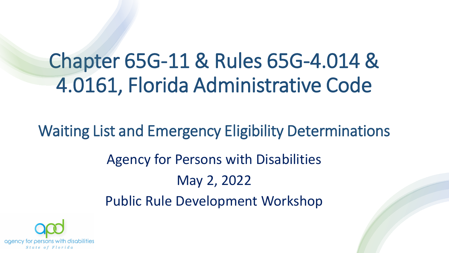## Chapter 65G-11 & Rules 65G-4.014 & 4.0161, Florida Administrative Code

Waiting List and Emergency Eligibility Determinations Agency for Persons with Disabilities May 2, 2022 Public Rule Development Workshop

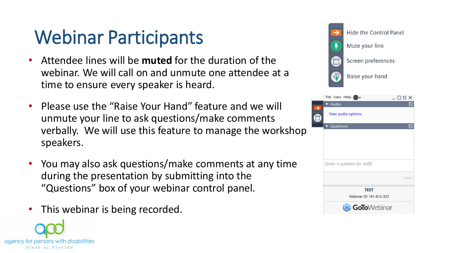## Webinar Participants

- Attendee lines will be **muted** for the duration of the webinar. We will call on and unmute one attendee at a time to ensure every speaker is heard.
- Please use the "Raise Your Hand" feature and we will unmute your line to ask questions/make comments verbally. We will use this feature to manage the workshop speakers.
- You may also ask questions/make comments at any time during the presentation by submitting into the "Questions" box of your webinar control panel.
- This webinar is being recorded.





| œ                            |      |
|------------------------------|------|
| Audio                        |      |
| View audio options           |      |
| Questions                    |      |
|                              |      |
|                              |      |
|                              |      |
|                              |      |
| [Enter a question for staff] |      |
|                              | Send |
| <b>TEST</b>                  |      |
| Webinar ID: 161-612-323      |      |
| GoToWebinar                  |      |
|                              |      |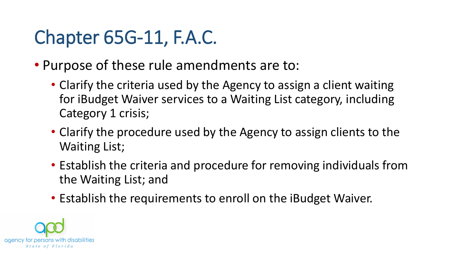## Chapter 65G-11, F.A.C.

- Purpose of these rule amendments are to:
	- Clarify the criteria used by the Agency to assign a client waiting for iBudget Waiver services to a Waiting List category, including Category 1 crisis;
	- Clarify the procedure used by the Agency to assign clients to the Waiting List;
	- Establish the criteria and procedure for removing individuals from the Waiting List; and
	- Establish the requirements to enroll on the iBudget Waiver.

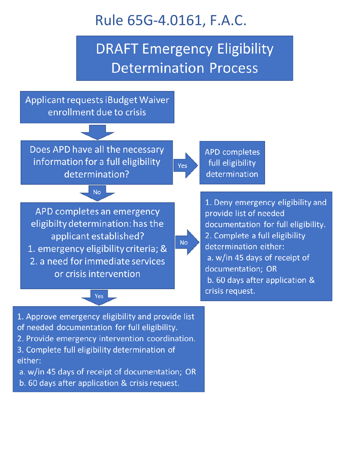

- 2. Provide emergency intervention coordination.
- 3. Complete full eligibility determination of either:
- a. w/in 45 days of receipt of documentation; OR
- b. 60 days after application & crisis request.